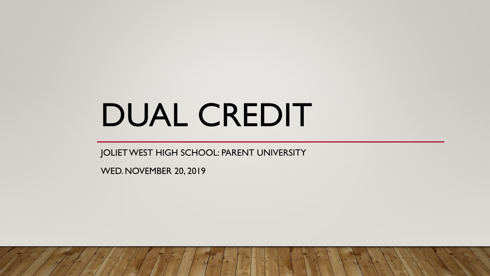# DUAL CREDIT

JOLIET WEST HIGH SCHOOL: PARENT UNIVERSITY

WED. NOVEMBER 20, 2019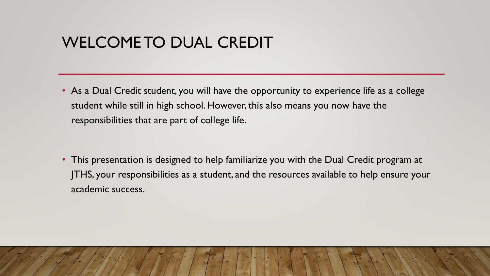## WELCOME TO DUAL CREDIT

• As a Dual Credit student, you will have the opportunity to experience life as a college student while still in high school. However, this also means you now have the responsibilities that are part of college life.

• This presentation is designed to help familiarize you with the Dual Credit program at JTHS, your responsibilities as a student, and the resources available to help ensure your academic success.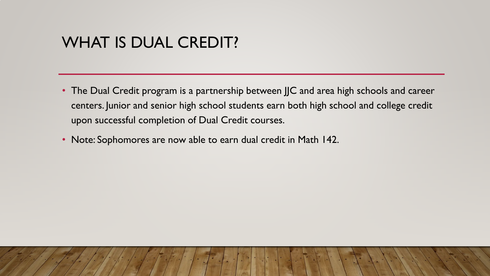#### WHAT IS DUAL CREDIT?

- The Dual Credit program is a partnership between JJC and area high schools and career centers. Junior and senior high school students earn both high school and college credit upon successful completion of Dual Credit courses.
- Note: Sophomores are now able to earn dual credit in Math 142.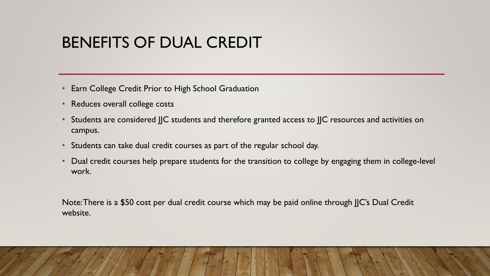### BENEFITS OF DUAL CREDIT

- Earn College Credit Prior to High School Graduation
- Reduces overall college costs
- Students are considered JJC students and therefore granted access to JJC resources and activities on campus.
- Students can take dual credit courses as part of the regular school day.
- Dual credit courses help prepare students for the transition to college by engaging them in college-level work.

Note: There is a \$50 cost per dual credit course which may be paid online through JJC's Dual Credit website.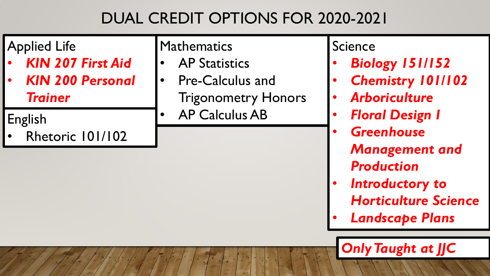# DUAL CREDIT OPTIONS FOR 2020-2021

| <b>Applied Life</b>      | Mathematics                | Science                  |  |  |
|--------------------------|----------------------------|--------------------------|--|--|
| <b>KIN 207 First Aid</b> | <b>AP Statistics</b>       | <b>Biology 151/152</b>   |  |  |
| <b>KIN 200 Personal</b>  | <b>Pre-Calculus and</b>    | <b>Chemistry 101/102</b> |  |  |
| <b>Trainer</b>           | <b>Trigonometry Honors</b> | <b>Arboriculture</b>     |  |  |
| English                  | <b>AP Calculus AB</b>      | <b>Floral Design I</b>   |  |  |
| Rhetoric 101/102         |                            | <b>Greenhouse</b>        |  |  |

- *Management and Production*
- *Introductory to Horticulture Science*
- *Landscape Plans*

*Only Taught at JJC*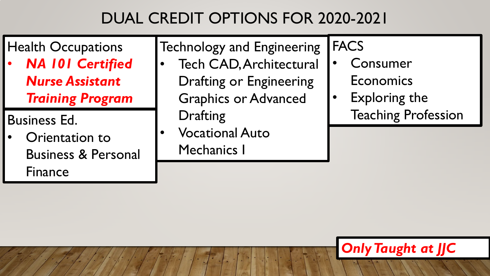# DUAL CREDIT OPTIONS FOR 2020-2021

## Health Occupations

• *NA 101 Certified Nurse Assistant Training Program*

# Business Ed.

• Orientation to Business & Personal Finance

### Technology and Engineering

- Tech CAD, Architectural Drafting or Engineering Graphics or Advanced Drafting
- Vocational Auto Mechanics I

# **FACS**

- **Consumer** Economics
- Exploring the Teaching Profession

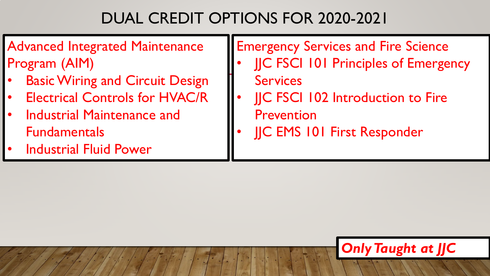# DUAL CREDIT OPTIONS FOR 2020-2021

#### Advanced Integrated Maintenance Program (AIM)

- **Basic Wiring and Circuit Design**
- **Electrical Controls for HVAC/R**
- Industrial Maintenance and Fundamentals
- **Industrial Fluid Power**

#### Emergency Services and Fire Science

- **IIC FSCI 101 Principles of Emergency Services**
- **JC FSCI 102 Introduction to Fire** Prevention
- JJC EMS 101 First Responder

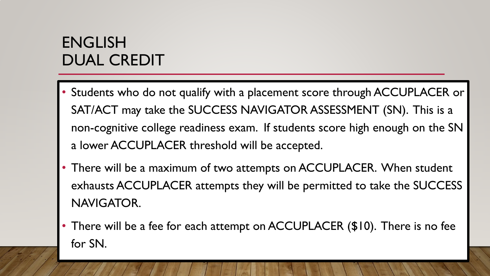## ENGLISH DUAL CREDIT

- Students who do not qualify with a placement score through ACCUPLACER or SAT/ACT may take the SUCCESS NAVIGATOR ASSESSMENT (SN). This is a non-cognitive college readiness exam. If students score high enough on the SN a lower ACCUPLACER threshold will be accepted.
- There will be a maximum of two attempts on ACCUPLACER. When student exhausts ACCUPLACER attempts they will be permitted to take the SUCCESS NAVIGATOR.
- There will be a fee for each attempt on ACCUPLACER (\$10). There is no fee for SN.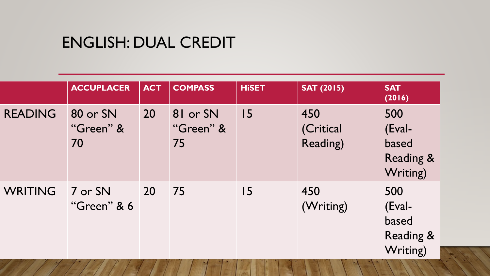#### ENGLISH: DUAL CREDIT

|                | <b>ACCUPLACER</b>           | <b>ACT</b> | <b>COMPASS</b>              | <b>HiSET</b> | <b>SAT (2015)</b>            | <b>SAT</b><br>(2016)                                       |
|----------------|-----------------------------|------------|-----------------------------|--------------|------------------------------|------------------------------------------------------------|
| <b>READING</b> | 80 or SN<br>"Green" &<br>70 | 20         | 81 or SN<br>"Green" &<br>75 | 15           | 450<br>(Critical<br>Reading) | 500<br>(Eval-<br>based<br><b>Reading &amp;</b><br>Writing) |
| <b>WRITING</b> | 7 or SN<br>"Green" & 6      | 20         | 75                          | 15           | 450<br>(Writing)             | 500<br>(Eval-<br>based<br><b>Reading &amp;</b><br>Writing) |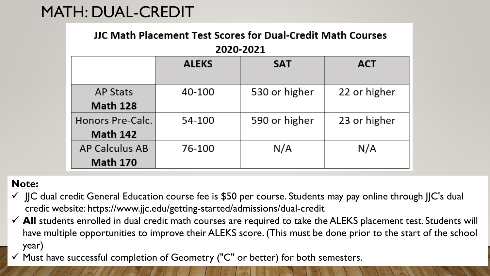## MATH: DUAL-CREDIT

#### **JJC Math Placement Test Scores for Dual-Credit Math Courses**

#### 2020-2021

|                  | <b>ALEKS</b> | <b>SAT</b>    | <b>ACT</b>   |
|------------------|--------------|---------------|--------------|
| <b>AP Stats</b>  | 40-100       | 530 or higher | 22 or higher |
| <b>Math 128</b>  |              |               |              |
| Honors Pre-Calc. | 54-100       | 590 or higher | 23 or higher |
| <b>Math 142</b>  |              |               |              |
| AP Calculus AB   | 76-100       | N/A           | N/A          |
| <b>Math 170</b>  |              |               |              |

#### **Note:**

- $\checkmark$  JJC dual credit General Education course fee is \$50 per course. Students may pay online through JJC's dual credit website: https://www.jjc.edu/getting-started/admissions/dual-credit
- √ All students enrolled in dual credit math courses are required to take the ALEKS placement test. Students will have multiple opportunities to improve their ALEKS score. (This must be done prior to the start of the school year)
- $\checkmark$  Must have successful completion of Geometry ("C" or better) for both semesters.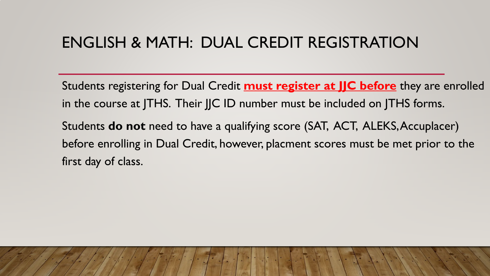## ENGLISH & MATH: DUAL CREDIT REGISTRATION

Students registering for Dual Credit **must register at JJC before** they are enrolled in the course at JTHS. Their JJC ID number must be included on JTHS forms.

Students **do not** need to have a qualifying score (SAT, ACT, ALEKS, Accuplacer) before enrolling in Dual Credit, however, placment scores must be met prior to the first day of class.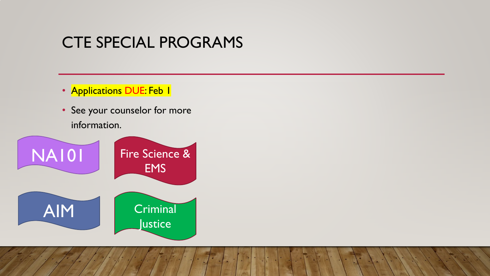#### CTE SPECIAL PROGRAMS

- Applications DUE: Feb 1
- See your counselor for more information.